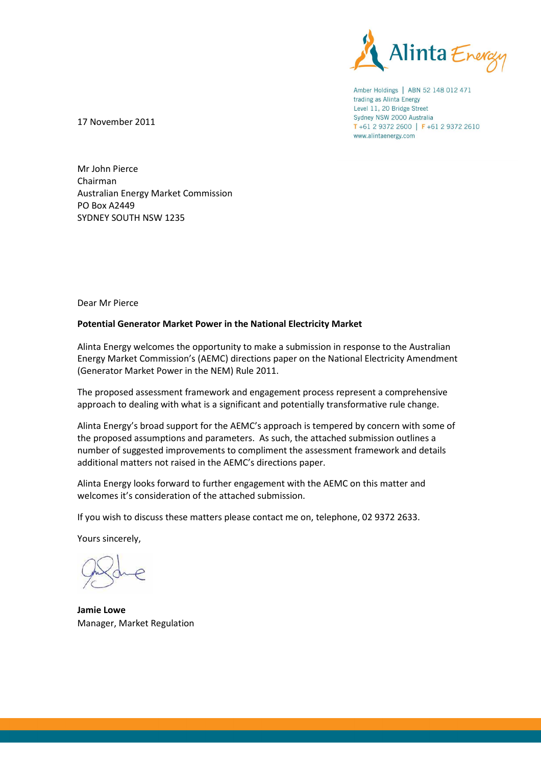

Amber Holdings | ABN 52 148 012 471 trading as Alinta Energy Level 11, 20 Bridge Street Sydney NSW 2000 Australia T+61 2 9372 2600 | F+61 2 9372 2610 www.alintaenergy.com

17 November 2011

Mr John Pierce Chairman Australian Energy Market Commission PO Box A2449 SYDNEY SOUTH NSW 1235

Dear Mr Pierce

# **Potential Generator Market Power in the National Electricity Market**

Alinta Energy welcomes the opportunity to make a submission in response to the Australian Energy Market Commission's (AEMC) directions paper on the National Electricity Amendment (Generator Market Power in the NEM) Rule 2011.

The proposed assessment framework and engagement process represent a comprehensive approach to dealing with what is a significant and potentially transformative rule change.

Alinta Energy's broad support for the AEMC's approach is tempered by concern with some of the proposed assumptions and parameters. As such, the attached submission outlines a number of suggested improvements to compliment the assessment framework and details additional matters not raised in the AEMC's directions paper.

Alinta Energy looks forward to further engagement with the AEMC on this matter and welcomes it's consideration of the attached submission.

If you wish to discuss these matters please contact me on, telephone, 02 9372 2633.

Yours sincerely,

**Jamie Lowe**  Manager, Market Regulation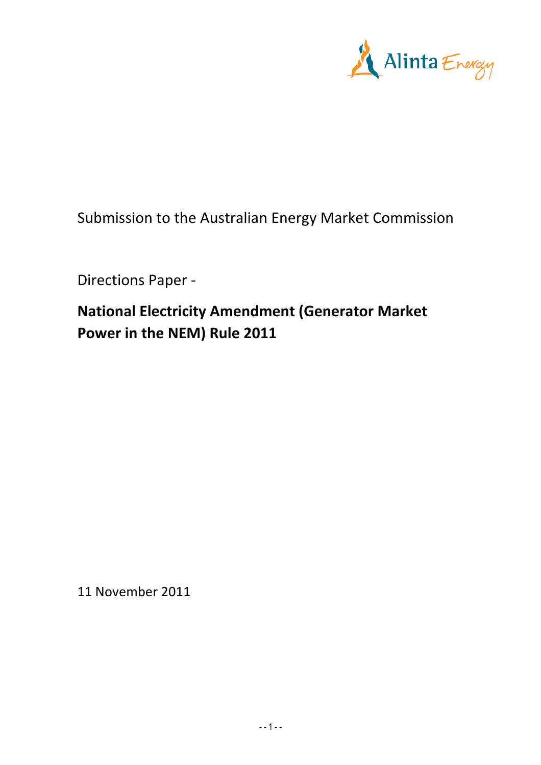

Submission to the Australian Energy Market Commission

Directions Paper -

**National Electricity Amendment (Generator Market Power in the NEM) Rule 2011** 

11 November 2011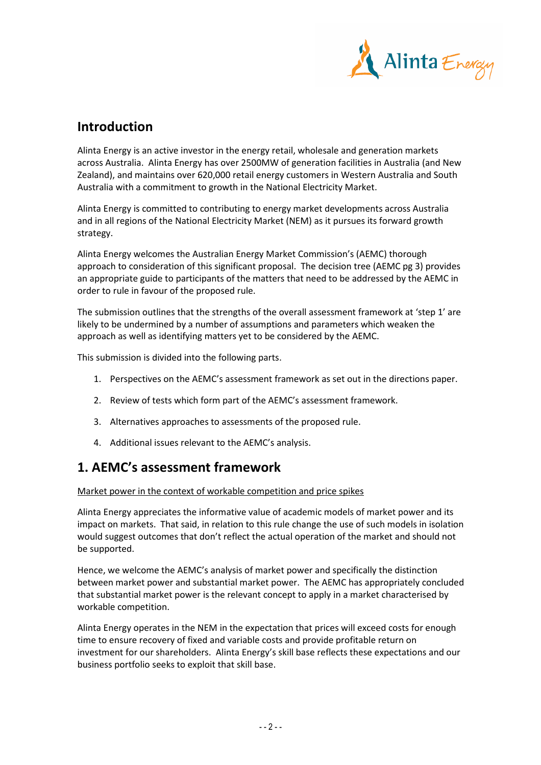

# **Introduction**

Alinta Energy is an active investor in the energy retail, wholesale and generation markets across Australia. Alinta Energy has over 2500MW of generation facilities in Australia (and New Zealand), and maintains over 620,000 retail energy customers in Western Australia and South Australia with a commitment to growth in the National Electricity Market.

Alinta Energy is committed to contributing to energy market developments across Australia and in all regions of the National Electricity Market (NEM) as it pursues its forward growth strategy.

Alinta Energy welcomes the Australian Energy Market Commission's (AEMC) thorough approach to consideration of this significant proposal. The decision tree (AEMC pg 3) provides an appropriate guide to participants of the matters that need to be addressed by the AEMC in order to rule in favour of the proposed rule.

The submission outlines that the strengths of the overall assessment framework at 'step 1' are likely to be undermined by a number of assumptions and parameters which weaken the approach as well as identifying matters yet to be considered by the AEMC.

This submission is divided into the following parts.

- 1. Perspectives on the AEMC's assessment framework as set out in the directions paper.
- 2. Review of tests which form part of the AEMC's assessment framework.
- 3. Alternatives approaches to assessments of the proposed rule.
- 4. Additional issues relevant to the AEMC's analysis.

# **1. AEMC's assessment framework**

Market power in the context of workable competition and price spikes

Alinta Energy appreciates the informative value of academic models of market power and its impact on markets. That said, in relation to this rule change the use of such models in isolation would suggest outcomes that don't reflect the actual operation of the market and should not be supported.

Hence, we welcome the AEMC's analysis of market power and specifically the distinction between market power and substantial market power. The AEMC has appropriately concluded that substantial market power is the relevant concept to apply in a market characterised by workable competition.

Alinta Energy operates in the NEM in the expectation that prices will exceed costs for enough time to ensure recovery of fixed and variable costs and provide profitable return on investment for our shareholders. Alinta Energy's skill base reflects these expectations and our business portfolio seeks to exploit that skill base.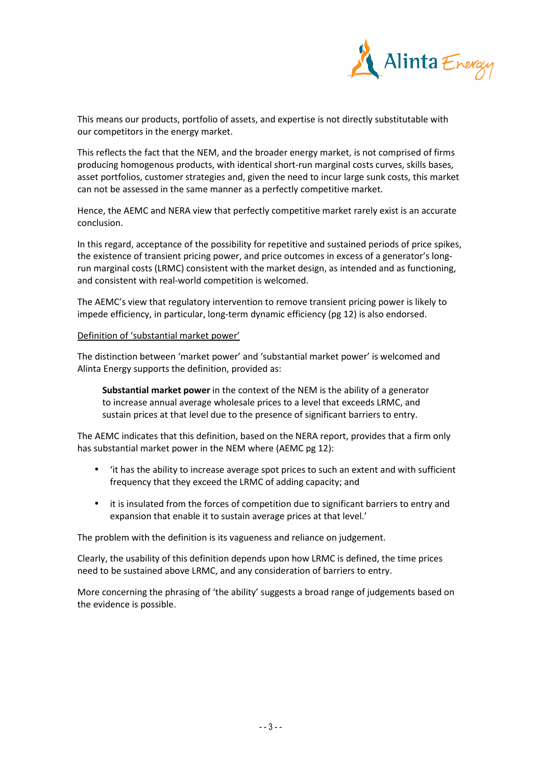

This means our products, portfolio of assets, and expertise is not directly substitutable with our competitors in the energy market.

This reflects the fact that the NEM, and the broader energy market, is not comprised of firms producing homogenous products, with identical short-run marginal costs curves, skills bases, asset portfolios, customer strategies and, given the need to incur large sunk costs, this market can not be assessed in the same manner as a perfectly competitive market.

Hence, the AEMC and NERA view that perfectly competitive market rarely exist is an accurate conclusion.

In this regard, acceptance of the possibility for repetitive and sustained periods of price spikes, the existence of transient pricing power, and price outcomes in excess of a generator's longrun marginal costs (LRMC) consistent with the market design, as intended and as functioning, and consistent with real-world competition is welcomed.

The AEMC's view that regulatory intervention to remove transient pricing power is likely to impede efficiency, in particular, long-term dynamic efficiency (pg 12) is also endorsed.

# Definition of 'substantial market power'

The distinction between 'market power' and 'substantial market power' is welcomed and Alinta Energy supports the definition, provided as:

**Substantial market power** in the context of the NEM is the ability of a generator to increase annual average wholesale prices to a level that exceeds LRMC, and sustain prices at that level due to the presence of significant barriers to entry.

The AEMC indicates that this definition, based on the NERA report, provides that a firm only has substantial market power in the NEM where (AEMC pg 12):

- 'it has the ability to increase average spot prices to such an extent and with sufficient frequency that they exceed the LRMC of adding capacity; and
- it is insulated from the forces of competition due to significant barriers to entry and expansion that enable it to sustain average prices at that level.'

The problem with the definition is its vagueness and reliance on judgement.

Clearly, the usability of this definition depends upon how LRMC is defined, the time prices need to be sustained above LRMC, and any consideration of barriers to entry.

More concerning the phrasing of 'the ability' suggests a broad range of judgements based on the evidence is possible.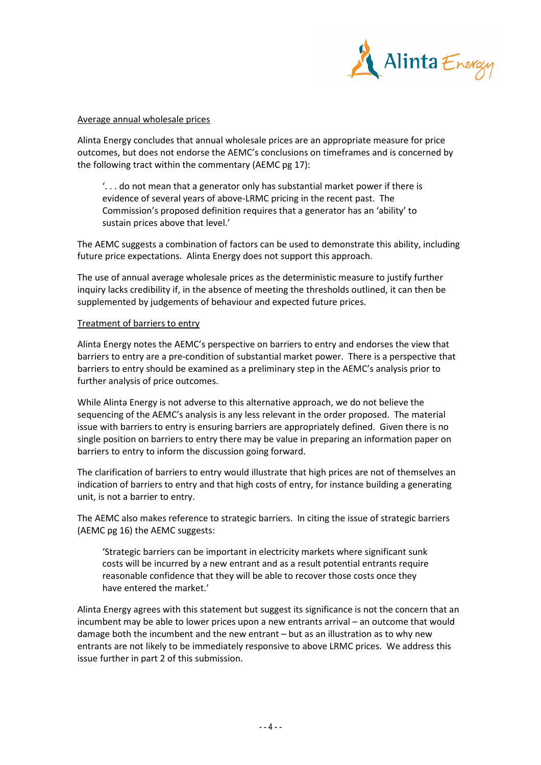

#### Average annual wholesale prices

Alinta Energy concludes that annual wholesale prices are an appropriate measure for price outcomes, but does not endorse the AEMC's conclusions on timeframes and is concerned by the following tract within the commentary (AEMC pg 17):

'. . . do not mean that a generator only has substantial market power if there is evidence of several years of above-LRMC pricing in the recent past. The Commission's proposed definition requires that a generator has an 'ability' to sustain prices above that level.'

The AEMC suggests a combination of factors can be used to demonstrate this ability, including future price expectations. Alinta Energy does not support this approach.

The use of annual average wholesale prices as the deterministic measure to justify further inquiry lacks credibility if, in the absence of meeting the thresholds outlined, it can then be supplemented by judgements of behaviour and expected future prices.

#### Treatment of barriers to entry

Alinta Energy notes the AEMC's perspective on barriers to entry and endorses the view that barriers to entry are a pre-condition of substantial market power. There is a perspective that barriers to entry should be examined as a preliminary step in the AEMC's analysis prior to further analysis of price outcomes.

While Alinta Energy is not adverse to this alternative approach, we do not believe the sequencing of the AEMC's analysis is any less relevant in the order proposed. The material issue with barriers to entry is ensuring barriers are appropriately defined. Given there is no single position on barriers to entry there may be value in preparing an information paper on barriers to entry to inform the discussion going forward.

The clarification of barriers to entry would illustrate that high prices are not of themselves an indication of barriers to entry and that high costs of entry, for instance building a generating unit, is not a barrier to entry.

The AEMC also makes reference to strategic barriers. In citing the issue of strategic barriers (AEMC pg 16) the AEMC suggests:

'Strategic barriers can be important in electricity markets where significant sunk costs will be incurred by a new entrant and as a result potential entrants require reasonable confidence that they will be able to recover those costs once they have entered the market'

Alinta Energy agrees with this statement but suggest its significance is not the concern that an incumbent may be able to lower prices upon a new entrants arrival – an outcome that would damage both the incumbent and the new entrant – but as an illustration as to why new entrants are not likely to be immediately responsive to above LRMC prices. We address this issue further in part 2 of this submission.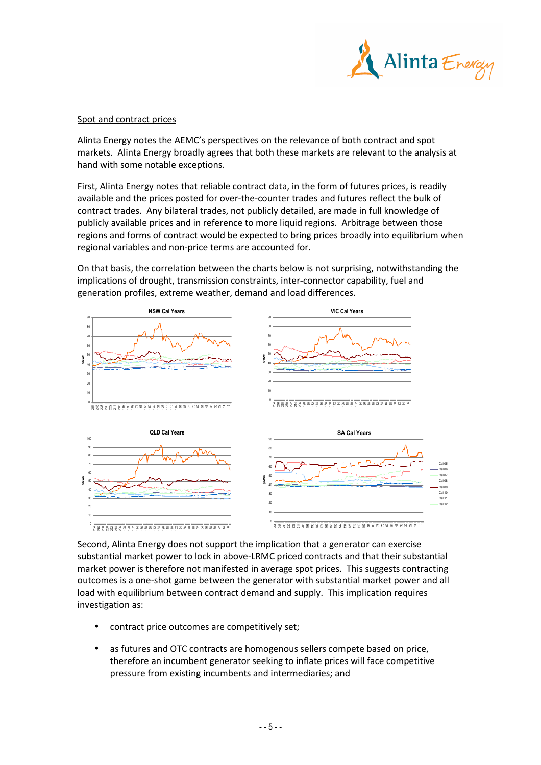

#### Spot and contract prices

Alinta Energy notes the AEMC's perspectives on the relevance of both contract and spot markets. Alinta Energy broadly agrees that both these markets are relevant to the analysis at hand with some notable exceptions.

First, Alinta Energy notes that reliable contract data, in the form of futures prices, is readily available and the prices posted for over-the-counter trades and futures reflect the bulk of contract trades. Any bilateral trades, not publicly detailed, are made in full knowledge of publicly available prices and in reference to more liquid regions. Arbitrage between those regions and forms of contract would be expected to bring prices broadly into equilibrium when regional variables and non-price terms are accounted for.

On that basis, the correlation between the charts below is not surprising, notwithstanding the implications of drought, transmission constraints, inter-connector capability, fuel and generation profiles, extreme weather, demand and load differences.



Second, Alinta Energy does not support the implication that a generator can exercise substantial market power to lock in above-LRMC priced contracts and that their substantial market power is therefore not manifested in average spot prices. This suggests contracting outcomes is a one-shot game between the generator with substantial market power and all load with equilibrium between contract demand and supply. This implication requires investigation as:

- contract price outcomes are competitively set;
- as futures and OTC contracts are homogenous sellers compete based on price, therefore an incumbent generator seeking to inflate prices will face competitive pressure from existing incumbents and intermediaries; and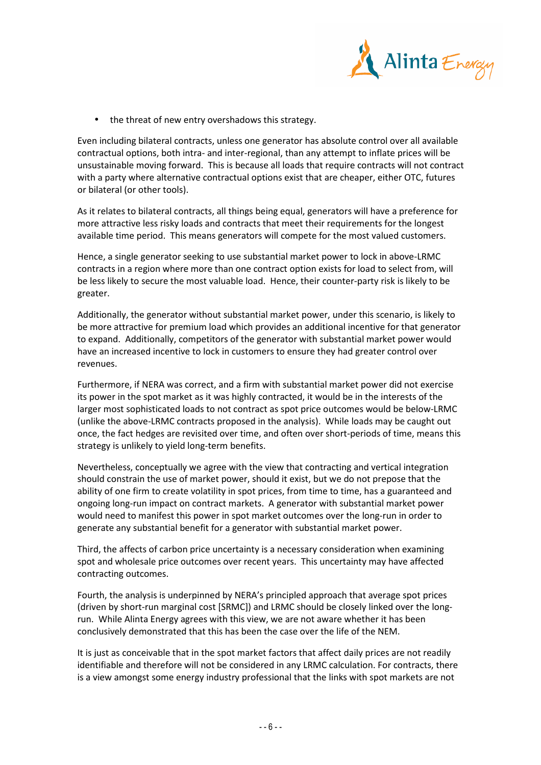

• the threat of new entry overshadows this strategy.

Even including bilateral contracts, unless one generator has absolute control over all available contractual options, both intra- and inter-regional, than any attempt to inflate prices will be unsustainable moving forward. This is because all loads that require contracts will not contract with a party where alternative contractual options exist that are cheaper, either OTC, futures or bilateral (or other tools).

As it relates to bilateral contracts, all things being equal, generators will have a preference for more attractive less risky loads and contracts that meet their requirements for the longest available time period. This means generators will compete for the most valued customers.

Hence, a single generator seeking to use substantial market power to lock in above-LRMC contracts in a region where more than one contract option exists for load to select from, will be less likely to secure the most valuable load. Hence, their counter-party risk is likely to be greater.

Additionally, the generator without substantial market power, under this scenario, is likely to be more attractive for premium load which provides an additional incentive for that generator to expand. Additionally, competitors of the generator with substantial market power would have an increased incentive to lock in customers to ensure they had greater control over revenues.

Furthermore, if NERA was correct, and a firm with substantial market power did not exercise its power in the spot market as it was highly contracted, it would be in the interests of the larger most sophisticated loads to not contract as spot price outcomes would be below-LRMC (unlike the above-LRMC contracts proposed in the analysis). While loads may be caught out once, the fact hedges are revisited over time, and often over short-periods of time, means this strategy is unlikely to yield long-term benefits.

Nevertheless, conceptually we agree with the view that contracting and vertical integration should constrain the use of market power, should it exist, but we do not prepose that the ability of one firm to create volatility in spot prices, from time to time, has a guaranteed and ongoing long-run impact on contract markets. A generator with substantial market power would need to manifest this power in spot market outcomes over the long-run in order to generate any substantial benefit for a generator with substantial market power.

Third, the affects of carbon price uncertainty is a necessary consideration when examining spot and wholesale price outcomes over recent years. This uncertainty may have affected contracting outcomes.

Fourth, the analysis is underpinned by NERA's principled approach that average spot prices (driven by short-run marginal cost [SRMC]) and LRMC should be closely linked over the longrun. While Alinta Energy agrees with this view, we are not aware whether it has been conclusively demonstrated that this has been the case over the life of the NEM.

It is just as conceivable that in the spot market factors that affect daily prices are not readily identifiable and therefore will not be considered in any LRMC calculation. For contracts, there is a view amongst some energy industry professional that the links with spot markets are not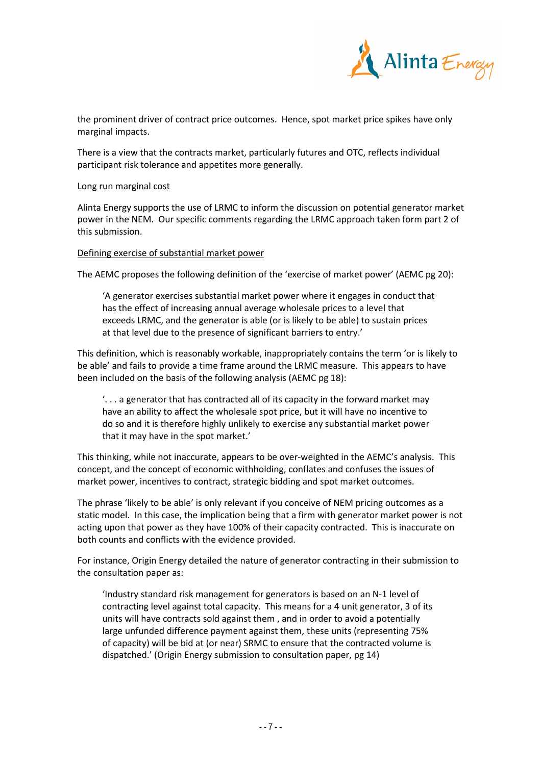

the prominent driver of contract price outcomes. Hence, spot market price spikes have only marginal impacts.

There is a view that the contracts market, particularly futures and OTC, reflects individual participant risk tolerance and appetites more generally.

#### Long run marginal cost

Alinta Energy supports the use of LRMC to inform the discussion on potential generator market power in the NEM. Our specific comments regarding the LRMC approach taken form part 2 of this submission.

#### Defining exercise of substantial market power

The AEMC proposes the following definition of the 'exercise of market power' (AEMC pg 20):

'A generator exercises substantial market power where it engages in conduct that has the effect of increasing annual average wholesale prices to a level that exceeds LRMC, and the generator is able (or is likely to be able) to sustain prices at that level due to the presence of significant barriers to entry.'

This definition, which is reasonably workable, inappropriately contains the term 'or is likely to be able' and fails to provide a time frame around the LRMC measure. This appears to have been included on the basis of the following analysis (AEMC pg 18):

'. . . a generator that has contracted all of its capacity in the forward market may have an ability to affect the wholesale spot price, but it will have no incentive to do so and it is therefore highly unlikely to exercise any substantial market power that it may have in the spot market.'

This thinking, while not inaccurate, appears to be over-weighted in the AEMC's analysis. This concept, and the concept of economic withholding, conflates and confuses the issues of market power, incentives to contract, strategic bidding and spot market outcomes.

The phrase 'likely to be able' is only relevant if you conceive of NEM pricing outcomes as a static model. In this case, the implication being that a firm with generator market power is not acting upon that power as they have 100% of their capacity contracted. This is inaccurate on both counts and conflicts with the evidence provided.

For instance, Origin Energy detailed the nature of generator contracting in their submission to the consultation paper as:

'Industry standard risk management for generators is based on an N-1 level of contracting level against total capacity. This means for a 4 unit generator, 3 of its units will have contracts sold against them , and in order to avoid a potentially large unfunded difference payment against them, these units (representing 75% of capacity) will be bid at (or near) SRMC to ensure that the contracted volume is dispatched.' (Origin Energy submission to consultation paper, pg 14)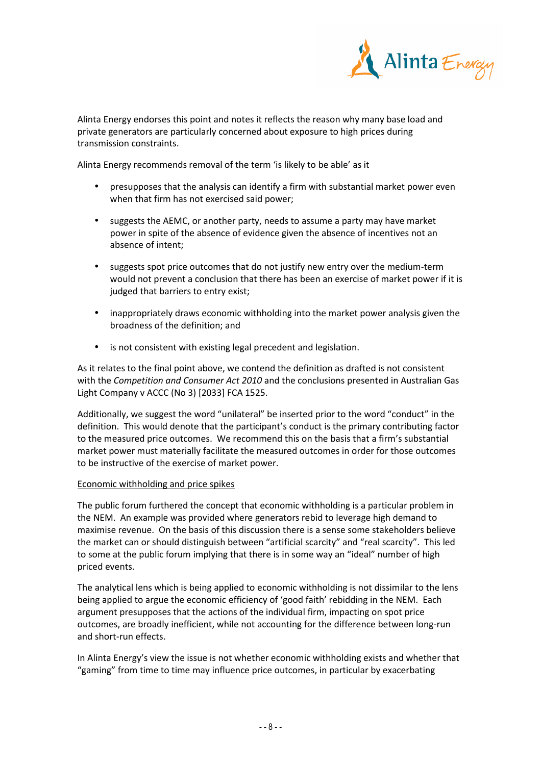

Alinta Energy endorses this point and notes it reflects the reason why many base load and private generators are particularly concerned about exposure to high prices during transmission constraints.

Alinta Energy recommends removal of the term 'is likely to be able' as it

- presupposes that the analysis can identify a firm with substantial market power even when that firm has not exercised said power;
- suggests the AEMC, or another party, needs to assume a party may have market power in spite of the absence of evidence given the absence of incentives not an absence of intent;
- suggests spot price outcomes that do not justify new entry over the medium-term would not prevent a conclusion that there has been an exercise of market power if it is judged that barriers to entry exist;
- inappropriately draws economic withholding into the market power analysis given the broadness of the definition; and
- is not consistent with existing legal precedent and legislation.

As it relates to the final point above, we contend the definition as drafted is not consistent with the *Competition and Consumer Act 2010* and the conclusions presented in Australian Gas Light Company v ACCC (No 3) [2033] FCA 1525.

Additionally, we suggest the word "unilateral" be inserted prior to the word "conduct" in the definition. This would denote that the participant's conduct is the primary contributing factor to the measured price outcomes. We recommend this on the basis that a firm's substantial market power must materially facilitate the measured outcomes in order for those outcomes to be instructive of the exercise of market power.

# Economic withholding and price spikes

The public forum furthered the concept that economic withholding is a particular problem in the NEM. An example was provided where generators rebid to leverage high demand to maximise revenue. On the basis of this discussion there is a sense some stakeholders believe the market can or should distinguish between "artificial scarcity" and "real scarcity". This led to some at the public forum implying that there is in some way an "ideal" number of high priced events.

The analytical lens which is being applied to economic withholding is not dissimilar to the lens being applied to argue the economic efficiency of 'good faith' rebidding in the NEM. Each argument presupposes that the actions of the individual firm, impacting on spot price outcomes, are broadly inefficient, while not accounting for the difference between long-run and short-run effects.

In Alinta Energy's view the issue is not whether economic withholding exists and whether that "gaming" from time to time may influence price outcomes, in particular by exacerbating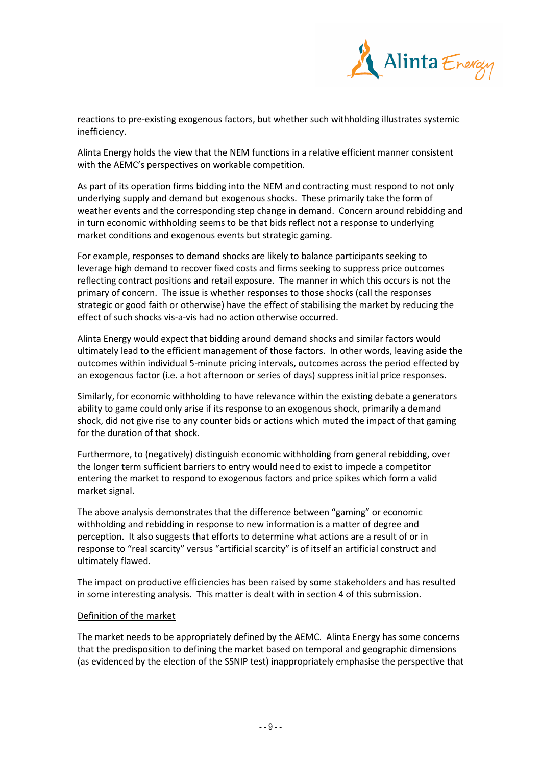

reactions to pre-existing exogenous factors, but whether such withholding illustrates systemic inefficiency.

Alinta Energy holds the view that the NEM functions in a relative efficient manner consistent with the AEMC's perspectives on workable competition.

As part of its operation firms bidding into the NEM and contracting must respond to not only underlying supply and demand but exogenous shocks. These primarily take the form of weather events and the corresponding step change in demand. Concern around rebidding and in turn economic withholding seems to be that bids reflect not a response to underlying market conditions and exogenous events but strategic gaming.

For example, responses to demand shocks are likely to balance participants seeking to leverage high demand to recover fixed costs and firms seeking to suppress price outcomes reflecting contract positions and retail exposure. The manner in which this occurs is not the primary of concern. The issue is whether responses to those shocks (call the responses strategic or good faith or otherwise) have the effect of stabilising the market by reducing the effect of such shocks vis-a-vis had no action otherwise occurred.

Alinta Energy would expect that bidding around demand shocks and similar factors would ultimately lead to the efficient management of those factors. In other words, leaving aside the outcomes within individual 5-minute pricing intervals, outcomes across the period effected by an exogenous factor (i.e. a hot afternoon or series of days) suppress initial price responses.

Similarly, for economic withholding to have relevance within the existing debate a generators ability to game could only arise if its response to an exogenous shock, primarily a demand shock, did not give rise to any counter bids or actions which muted the impact of that gaming for the duration of that shock.

Furthermore, to (negatively) distinguish economic withholding from general rebidding, over the longer term sufficient barriers to entry would need to exist to impede a competitor entering the market to respond to exogenous factors and price spikes which form a valid market signal.

The above analysis demonstrates that the difference between "gaming" or economic withholding and rebidding in response to new information is a matter of degree and perception. It also suggests that efforts to determine what actions are a result of or in response to "real scarcity" versus "artificial scarcity" is of itself an artificial construct and ultimately flawed.

The impact on productive efficiencies has been raised by some stakeholders and has resulted in some interesting analysis. This matter is dealt with in section 4 of this submission.

# Definition of the market

The market needs to be appropriately defined by the AEMC. Alinta Energy has some concerns that the predisposition to defining the market based on temporal and geographic dimensions (as evidenced by the election of the SSNIP test) inappropriately emphasise the perspective that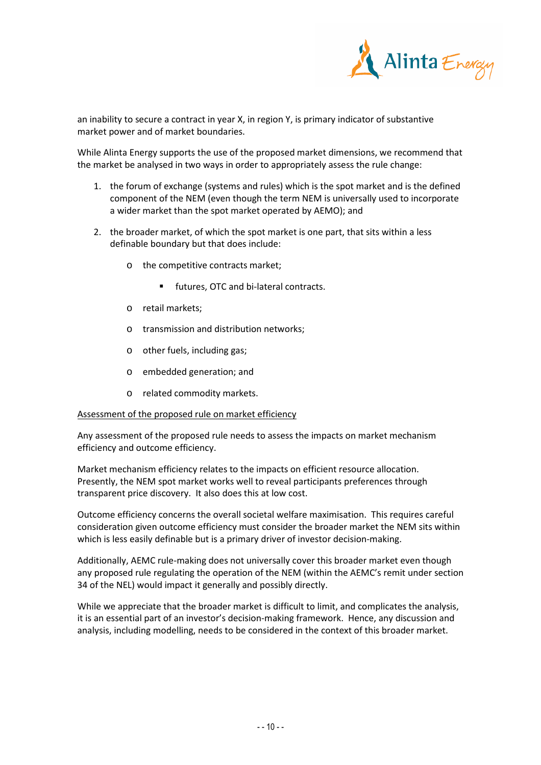

an inability to secure a contract in year X, in region Y, is primary indicator of substantive market power and of market boundaries.

While Alinta Energy supports the use of the proposed market dimensions, we recommend that the market be analysed in two ways in order to appropriately assess the rule change:

- 1. the forum of exchange (systems and rules) which is the spot market and is the defined component of the NEM (even though the term NEM is universally used to incorporate a wider market than the spot market operated by AEMO); and
- 2. the broader market, of which the spot market is one part, that sits within a less definable boundary but that does include:
	- o the competitive contracts market;
		- **futures, OTC and bi-lateral contracts.**
	- o retail markets;
	- o transmission and distribution networks;
	- o other fuels, including gas;
	- o embedded generation; and
	- o related commodity markets.

# Assessment of the proposed rule on market efficiency

Any assessment of the proposed rule needs to assess the impacts on market mechanism efficiency and outcome efficiency.

Market mechanism efficiency relates to the impacts on efficient resource allocation. Presently, the NEM spot market works well to reveal participants preferences through transparent price discovery. It also does this at low cost.

Outcome efficiency concerns the overall societal welfare maximisation. This requires careful consideration given outcome efficiency must consider the broader market the NEM sits within which is less easily definable but is a primary driver of investor decision-making.

Additionally, AEMC rule-making does not universally cover this broader market even though any proposed rule regulating the operation of the NEM (within the AEMC's remit under section 34 of the NEL) would impact it generally and possibly directly.

While we appreciate that the broader market is difficult to limit, and complicates the analysis, it is an essential part of an investor's decision-making framework. Hence, any discussion and analysis, including modelling, needs to be considered in the context of this broader market.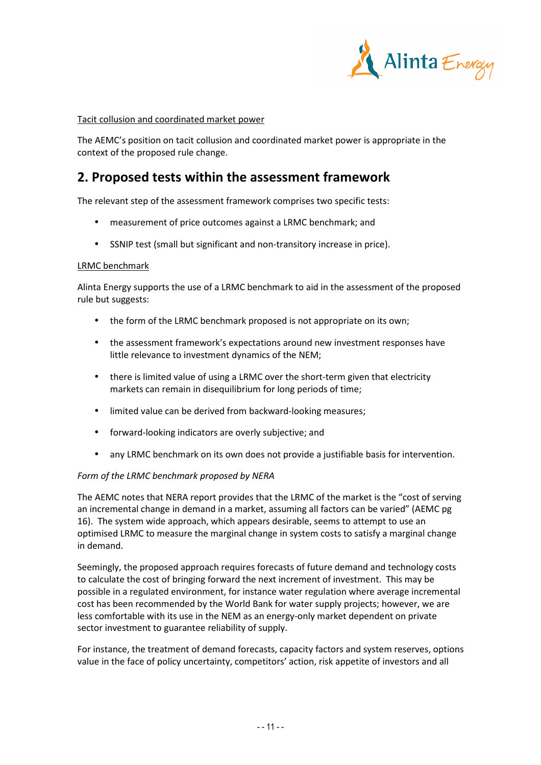

# Tacit collusion and coordinated market power

The AEMC's position on tacit collusion and coordinated market power is appropriate in the context of the proposed rule change.

# **2. Proposed tests within the assessment framework**

The relevant step of the assessment framework comprises two specific tests:

- measurement of price outcomes against a LRMC benchmark; and
- SSNIP test (small but significant and non-transitory increase in price).

#### LRMC benchmark

Alinta Energy supports the use of a LRMC benchmark to aid in the assessment of the proposed rule but suggests:

- the form of the LRMC benchmark proposed is not appropriate on its own;
- the assessment framework's expectations around new investment responses have little relevance to investment dynamics of the NEM;
- there is limited value of using a LRMC over the short-term given that electricity markets can remain in disequilibrium for long periods of time;
- limited value can be derived from backward-looking measures;
- forward-looking indicators are overly subjective; and
- any LRMC benchmark on its own does not provide a justifiable basis for intervention.

#### *Form of the LRMC benchmark proposed by NERA*

The AEMC notes that NERA report provides that the LRMC of the market is the "cost of serving an incremental change in demand in a market, assuming all factors can be varied" (AEMC pg 16). The system wide approach, which appears desirable, seems to attempt to use an optimised LRMC to measure the marginal change in system costs to satisfy a marginal change in demand.

Seemingly, the proposed approach requires forecasts of future demand and technology costs to calculate the cost of bringing forward the next increment of investment. This may be possible in a regulated environment, for instance water regulation where average incremental cost has been recommended by the World Bank for water supply projects; however, we are less comfortable with its use in the NEM as an energy-only market dependent on private sector investment to guarantee reliability of supply.

For instance, the treatment of demand forecasts, capacity factors and system reserves, options value in the face of policy uncertainty, competitors' action, risk appetite of investors and all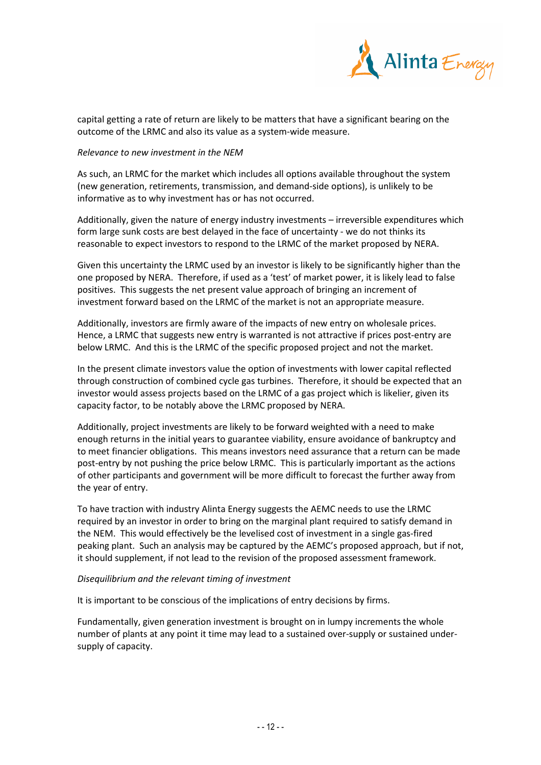

capital getting a rate of return are likely to be matters that have a significant bearing on the outcome of the LRMC and also its value as a system-wide measure.

#### *Relevance to new investment in the NEM*

As such, an LRMC for the market which includes all options available throughout the system (new generation, retirements, transmission, and demand-side options), is unlikely to be informative as to why investment has or has not occurred.

Additionally, given the nature of energy industry investments – irreversible expenditures which form large sunk costs are best delayed in the face of uncertainty - we do not thinks its reasonable to expect investors to respond to the LRMC of the market proposed by NERA.

Given this uncertainty the LRMC used by an investor is likely to be significantly higher than the one proposed by NERA. Therefore, if used as a 'test' of market power, it is likely lead to false positives. This suggests the net present value approach of bringing an increment of investment forward based on the LRMC of the market is not an appropriate measure.

Additionally, investors are firmly aware of the impacts of new entry on wholesale prices. Hence, a LRMC that suggests new entry is warranted is not attractive if prices post-entry are below LRMC. And this is the LRMC of the specific proposed project and not the market.

In the present climate investors value the option of investments with lower capital reflected through construction of combined cycle gas turbines. Therefore, it should be expected that an investor would assess projects based on the LRMC of a gas project which is likelier, given its capacity factor, to be notably above the LRMC proposed by NERA.

Additionally, project investments are likely to be forward weighted with a need to make enough returns in the initial years to guarantee viability, ensure avoidance of bankruptcy and to meet financier obligations. This means investors need assurance that a return can be made post-entry by not pushing the price below LRMC. This is particularly important as the actions of other participants and government will be more difficult to forecast the further away from the year of entry.

To have traction with industry Alinta Energy suggests the AEMC needs to use the LRMC required by an investor in order to bring on the marginal plant required to satisfy demand in the NEM. This would effectively be the levelised cost of investment in a single gas-fired peaking plant. Such an analysis may be captured by the AEMC's proposed approach, but if not, it should supplement, if not lead to the revision of the proposed assessment framework.

# *Disequilibrium and the relevant timing of investment*

It is important to be conscious of the implications of entry decisions by firms.

Fundamentally, given generation investment is brought on in lumpy increments the whole number of plants at any point it time may lead to a sustained over-supply or sustained undersupply of capacity.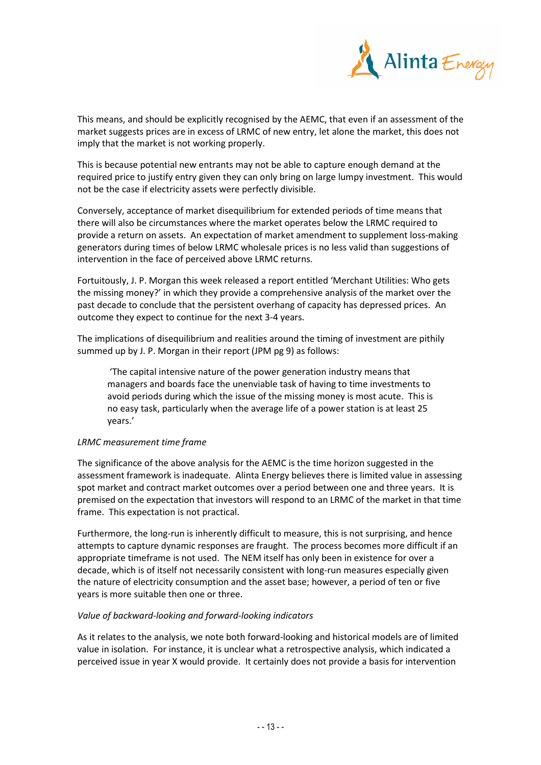

This means, and should be explicitly recognised by the AEMC, that even if an assessment of the market suggests prices are in excess of LRMC of new entry, let alone the market, this does not imply that the market is not working properly.

This is because potential new entrants may not be able to capture enough demand at the required price to justify entry given they can only bring on large lumpy investment. This would not be the case if electricity assets were perfectly divisible.

Conversely, acceptance of market disequilibrium for extended periods of time means that there will also be circumstances where the market operates below the LRMC required to provide a return on assets. An expectation of market amendment to supplement loss-making generators during times of below LRMC wholesale prices is no less valid than suggestions of intervention in the face of perceived above LRMC returns.

Fortuitously, J. P. Morgan this week released a report entitled 'Merchant Utilities: Who gets the missing money?' in which they provide a comprehensive analysis of the market over the past decade to conclude that the persistent overhang of capacity has depressed prices. An outcome they expect to continue for the next 3-4 years.

The implications of disequilibrium and realities around the timing of investment are pithily summed up by J. P. Morgan in their report (JPM pg 9) as follows:

 'The capital intensive nature of the power generation industry means that managers and boards face the unenviable task of having to time investments to avoid periods during which the issue of the missing money is most acute. This is no easy task, particularly when the average life of a power station is at least 25 years.'

# *LRMC measurement time frame*

The significance of the above analysis for the AEMC is the time horizon suggested in the assessment framework is inadequate. Alinta Energy believes there is limited value in assessing spot market and contract market outcomes over a period between one and three years. It is premised on the expectation that investors will respond to an LRMC of the market in that time frame. This expectation is not practical.

Furthermore, the long-run is inherently difficult to measure, this is not surprising, and hence attempts to capture dynamic responses are fraught. The process becomes more difficult if an appropriate timeframe is not used. The NEM itself has only been in existence for over a decade, which is of itself not necessarily consistent with long-run measures especially given the nature of electricity consumption and the asset base; however, a period of ten or five years is more suitable then one or three.

# *Value of backward-looking and forward-looking indicators*

As it relates to the analysis, we note both forward-looking and historical models are of limited value in isolation. For instance, it is unclear what a retrospective analysis, which indicated a perceived issue in year X would provide. It certainly does not provide a basis for intervention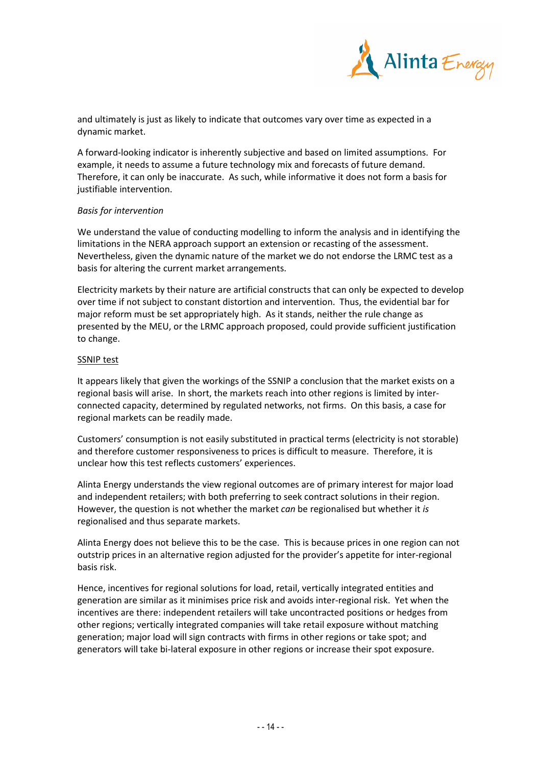

and ultimately is just as likely to indicate that outcomes vary over time as expected in a dynamic market.

A forward-looking indicator is inherently subjective and based on limited assumptions. For example, it needs to assume a future technology mix and forecasts of future demand. Therefore, it can only be inaccurate. As such, while informative it does not form a basis for justifiable intervention.

# *Basis for intervention*

We understand the value of conducting modelling to inform the analysis and in identifying the limitations in the NERA approach support an extension or recasting of the assessment. Nevertheless, given the dynamic nature of the market we do not endorse the LRMC test as a basis for altering the current market arrangements.

Electricity markets by their nature are artificial constructs that can only be expected to develop over time if not subject to constant distortion and intervention. Thus, the evidential bar for major reform must be set appropriately high. As it stands, neither the rule change as presented by the MEU, or the LRMC approach proposed, could provide sufficient justification to change.

#### **SSNIP test**

It appears likely that given the workings of the SSNIP a conclusion that the market exists on a regional basis will arise. In short, the markets reach into other regions is limited by interconnected capacity, determined by regulated networks, not firms. On this basis, a case for regional markets can be readily made.

Customers' consumption is not easily substituted in practical terms (electricity is not storable) and therefore customer responsiveness to prices is difficult to measure. Therefore, it is unclear how this test reflects customers' experiences.

Alinta Energy understands the view regional outcomes are of primary interest for major load and independent retailers; with both preferring to seek contract solutions in their region. However, the question is not whether the market *can* be regionalised but whether it *is*  regionalised and thus separate markets.

Alinta Energy does not believe this to be the case. This is because prices in one region can not outstrip prices in an alternative region adjusted for the provider's appetite for inter-regional basis risk.

Hence, incentives for regional solutions for load, retail, vertically integrated entities and generation are similar as it minimises price risk and avoids inter-regional risk. Yet when the incentives are there: independent retailers will take uncontracted positions or hedges from other regions; vertically integrated companies will take retail exposure without matching generation; major load will sign contracts with firms in other regions or take spot; and generators will take bi-lateral exposure in other regions or increase their spot exposure.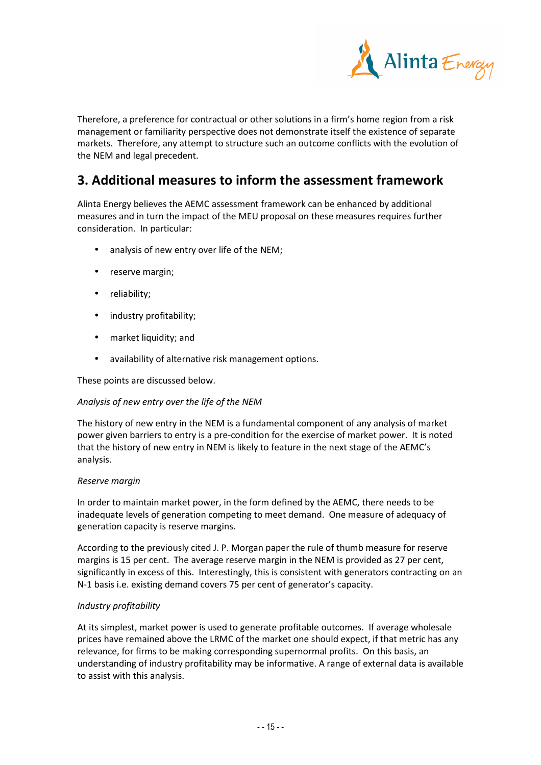

Therefore, a preference for contractual or other solutions in a firm's home region from a risk management or familiarity perspective does not demonstrate itself the existence of separate markets. Therefore, any attempt to structure such an outcome conflicts with the evolution of the NEM and legal precedent.

# **3. Additional measures to inform the assessment framework**

Alinta Energy believes the AEMC assessment framework can be enhanced by additional measures and in turn the impact of the MEU proposal on these measures requires further consideration. In particular:

- analysis of new entry over life of the NEM;
- reserve margin;
- reliability;
- industry profitability;
- market liquidity; and
- availability of alternative risk management options.

These points are discussed below.

# *Analysis of new entry over the life of the NEM*

The history of new entry in the NEM is a fundamental component of any analysis of market power given barriers to entry is a pre-condition for the exercise of market power. It is noted that the history of new entry in NEM is likely to feature in the next stage of the AEMC's analysis.

#### *Reserve margin*

In order to maintain market power, in the form defined by the AEMC, there needs to be inadequate levels of generation competing to meet demand. One measure of adequacy of generation capacity is reserve margins.

According to the previously cited J. P. Morgan paper the rule of thumb measure for reserve margins is 15 per cent. The average reserve margin in the NEM is provided as 27 per cent, significantly in excess of this. Interestingly, this is consistent with generators contracting on an N-1 basis i.e. existing demand covers 75 per cent of generator's capacity.

# *Industry profitability*

At its simplest, market power is used to generate profitable outcomes. If average wholesale prices have remained above the LRMC of the market one should expect, if that metric has any relevance, for firms to be making corresponding supernormal profits. On this basis, an understanding of industry profitability may be informative. A range of external data is available to assist with this analysis.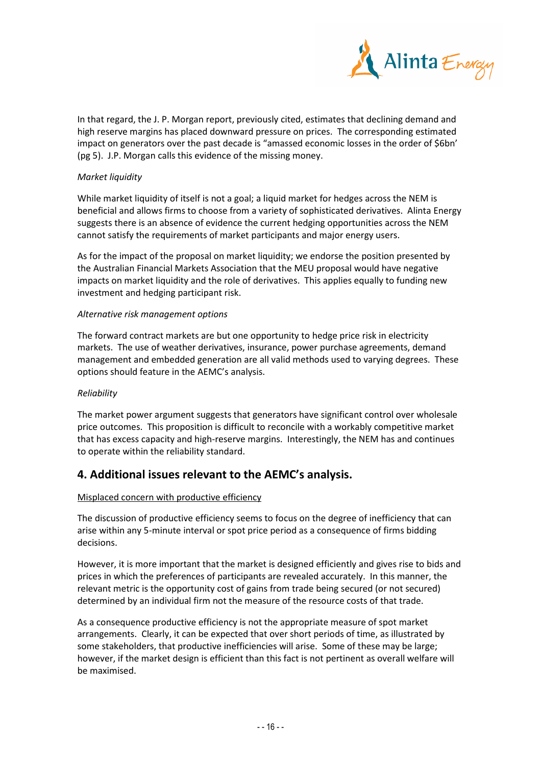

In that regard, the J. P. Morgan report, previously cited, estimates that declining demand and high reserve margins has placed downward pressure on prices. The corresponding estimated impact on generators over the past decade is "amassed economic losses in the order of \$6bn' (pg 5). J.P. Morgan calls this evidence of the missing money.

# *Market liquidity*

While market liquidity of itself is not a goal; a liquid market for hedges across the NEM is beneficial and allows firms to choose from a variety of sophisticated derivatives. Alinta Energy suggests there is an absence of evidence the current hedging opportunities across the NEM cannot satisfy the requirements of market participants and major energy users.

As for the impact of the proposal on market liquidity; we endorse the position presented by the Australian Financial Markets Association that the MEU proposal would have negative impacts on market liquidity and the role of derivatives. This applies equally to funding new investment and hedging participant risk.

# *Alternative risk management options*

The forward contract markets are but one opportunity to hedge price risk in electricity markets. The use of weather derivatives, insurance, power purchase agreements, demand management and embedded generation are all valid methods used to varying degrees. These options should feature in the AEMC's analysis.

# *Reliability*

The market power argument suggests that generators have significant control over wholesale price outcomes. This proposition is difficult to reconcile with a workably competitive market that has excess capacity and high-reserve margins. Interestingly, the NEM has and continues to operate within the reliability standard.

# **4. Additional issues relevant to the AEMC's analysis.**

# Misplaced concern with productive efficiency

The discussion of productive efficiency seems to focus on the degree of inefficiency that can arise within any 5-minute interval or spot price period as a consequence of firms bidding decisions.

However, it is more important that the market is designed efficiently and gives rise to bids and prices in which the preferences of participants are revealed accurately. In this manner, the relevant metric is the opportunity cost of gains from trade being secured (or not secured) determined by an individual firm not the measure of the resource costs of that trade.

As a consequence productive efficiency is not the appropriate measure of spot market arrangements. Clearly, it can be expected that over short periods of time, as illustrated by some stakeholders, that productive inefficiencies will arise. Some of these may be large; however, if the market design is efficient than this fact is not pertinent as overall welfare will be maximised.